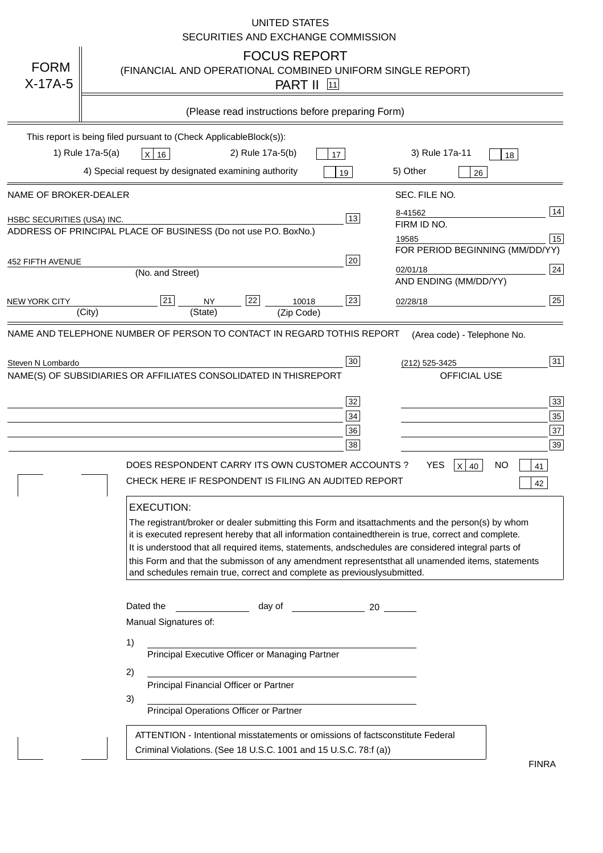|                                                                                                                                    | <b>UNITED STATES</b><br>SECURITIES AND EXCHANGE COMMISSION                                                                                                                                                                                                                                                                                                                                                                                                                                                                                                                                                                                                                                                                                                                                                                                                                                                                                                                                                                                                                                                                                                                                                                                                                                                                                                                                                                    |
|------------------------------------------------------------------------------------------------------------------------------------|-------------------------------------------------------------------------------------------------------------------------------------------------------------------------------------------------------------------------------------------------------------------------------------------------------------------------------------------------------------------------------------------------------------------------------------------------------------------------------------------------------------------------------------------------------------------------------------------------------------------------------------------------------------------------------------------------------------------------------------------------------------------------------------------------------------------------------------------------------------------------------------------------------------------------------------------------------------------------------------------------------------------------------------------------------------------------------------------------------------------------------------------------------------------------------------------------------------------------------------------------------------------------------------------------------------------------------------------------------------------------------------------------------------------------------|
| <b>FORM</b><br>$X-17A-5$                                                                                                           | <b>FOCUS REPORT</b><br>(FINANCIAL AND OPERATIONAL COMBINED UNIFORM SINGLE REPORT)<br><b>PART II</b> 11                                                                                                                                                                                                                                                                                                                                                                                                                                                                                                                                                                                                                                                                                                                                                                                                                                                                                                                                                                                                                                                                                                                                                                                                                                                                                                                        |
|                                                                                                                                    | (Please read instructions before preparing Form)                                                                                                                                                                                                                                                                                                                                                                                                                                                                                                                                                                                                                                                                                                                                                                                                                                                                                                                                                                                                                                                                                                                                                                                                                                                                                                                                                                              |
|                                                                                                                                    | This report is being filed pursuant to (Check Applicable<br>$Block(s)$ :<br>3) Rule 17a-11<br>1) Rule 17a-5(a)<br>2) Rule 17a-5(b)<br>$X$ 16<br>17<br>18<br>4) Special request by designated examining authority<br>5) Other<br>19<br>26                                                                                                                                                                                                                                                                                                                                                                                                                                                                                                                                                                                                                                                                                                                                                                                                                                                                                                                                                                                                                                                                                                                                                                                      |
| NAME OF BROKER-DEALER<br><b>HSBC SECURITIES (USA) INC.</b><br><b>452 FIFTH AVENUE</b><br><b>NEW YORK CITY</b><br>Steven N Lombardo | SEC. FILE NO.<br>14<br>8-41562<br>13<br>FIRM ID NO.<br>ADDRESS OF PRINCIPAL PLACE OF BUSINESS (Do not use P.O. Box<br>No.)<br>15<br>19585<br>FOR PERIOD BEGINNING (MM/DD/YY)<br>20<br>24<br>02/01/18<br>(No. and Street)<br>AND ENDING (MM/DD/YY)<br>25<br>22<br>21<br>23<br><b>NY</b><br>10018<br>02/28/18<br>(City)<br>(State)<br>(Zip Code)<br>NAME AND TELEPHONE NUMBER OF PERSON TO CONTACT IN REGARD TO<br>THIS REPORT(Area code) - Telephone No.<br>31<br>30<br>(212) 525-3425<br>NAME(S) OF SUBSIDIARIES OR AFFILIATES CONSOLIDATED IN THIS<br><b>REPORT</b><br><b>OFFICIAL USE</b><br>$\overline{33}$<br>32<br>35<br>34<br>37<br>36<br>39<br>38<br>DOES RESPONDENT CARRY ITS OWN CUSTOMER ACCOUNTS?<br><b>YES</b><br>$X$ 40<br><b>NO</b><br>41<br>CHECK HERE IF RESPONDENT IS FILING AN AUDITED REPORT<br>42<br><b>EXECUTION:</b><br>The registrant/broker or dealer submitting this Form and its<br>attachments and the person(s) by whom<br>it is executed represent hereby that all information contained<br>therein is true, correct and complete.<br>It is understood that all required items, statements, and<br>schedules are considered integral parts of<br>this Form and that the submisson of any amendment represents<br>that all unamended items, statements<br>and schedules remain true, correct and complete as previously<br>submitted.<br>Dated the<br>day of<br>20<br>Manual Signatures of:<br>1) |
|                                                                                                                                    | Principal Executive Officer or Managing Partner<br>2)<br>Principal Financial Officer or Partner<br>3)<br>Principal Operations Officer or Partner<br>ATTENTION - Intentional misstatements or omissions of facts<br>constitute Federal<br>Criminal Violations. (See 18 U.S.C. 1001 and 15 U.S.C. 78:f (a)<br>$\lambda$<br><b>FINRA</b>                                                                                                                                                                                                                                                                                                                                                                                                                                                                                                                                                                                                                                                                                                                                                                                                                                                                                                                                                                                                                                                                                         |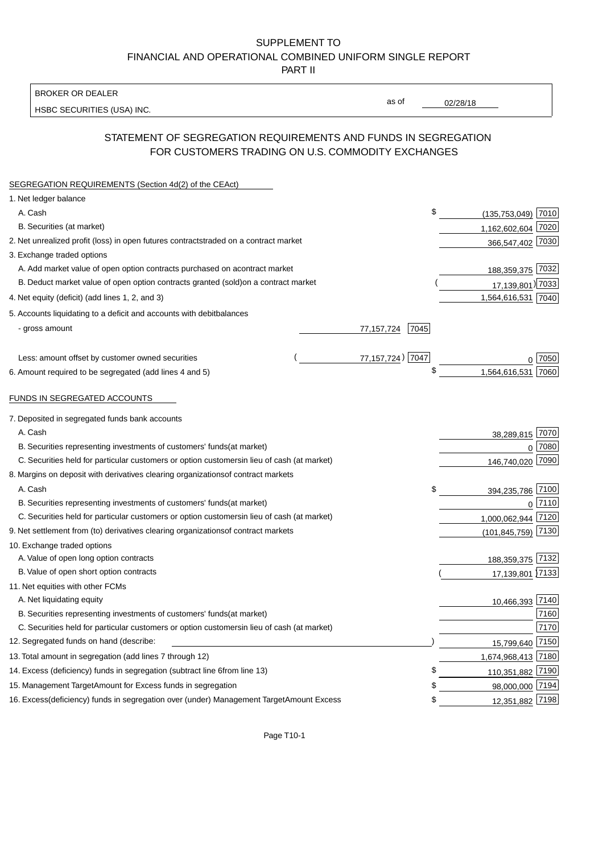BROKER OR DEALER

HSBC SECURITIES (USA) INC.

02/28/18

as of

## STATEMENT OF SEGREGATION REQUIREMENTS AND FUNDS IN SEGREGATION FOR CUSTOMERS TRADING ON U.S. COMMODITY EXCHANGES

| SEGREGATION REQUIREMENTS (Section 4d(2) of the CEAct)                                          |                      |                        |      |
|------------------------------------------------------------------------------------------------|----------------------|------------------------|------|
| 1. Net ledger balance                                                                          |                      |                        |      |
| A. Cash                                                                                        | \$                   | $(135, 753, 049)$ 7010 |      |
| B. Securities (at market)                                                                      |                      | 1,162,602,604 7020     |      |
| 2. Net unrealized profit (loss) in open futures contracts<br>traded on a contract market       |                      | 366,547,402 7030       |      |
| 3. Exchange traded options                                                                     |                      |                        |      |
| A. Add market value of open option contracts purchased on a<br>contract market                 |                      | 188,359,375 7032       |      |
| B. Deduct market value of open option contracts granted (sold)<br>on a contract market         |                      | 17,139,801) 7033       |      |
| 4. Net equity (deficit) (add lines 1, 2, and 3)                                                |                      | 1,564,616,531 7040     |      |
| 5. Accounts liquidating to a deficit and accounts with debit<br>balances                       |                      |                        |      |
| - gross amount                                                                                 | 7045<br>77, 157, 724 |                        |      |
|                                                                                                |                      |                        |      |
| Less: amount offset by customer owned securities                                               | 77,157,724) 7047     |                        | 7050 |
| 6. Amount required to be segregated (add lines 4 and 5)                                        | \$                   | 1,564,616,531          | 7060 |
|                                                                                                |                      |                        |      |
| FUNDS IN SEGREGATED ACCOUNTS                                                                   |                      |                        |      |
| 7. Deposited in segregated funds bank accounts                                                 |                      |                        |      |
| A. Cash                                                                                        |                      | 38,289,815             | 7070 |
| B. Securities representing investments of customers' funds<br>(at market)                      |                      | $\overline{0}$         | 7080 |
| C. Securities held for particular customers or option customers<br>in lieu of cash (at market) |                      | 146,740,020 7090       |      |
| 8. Margins on deposit with derivatives clearing organizations<br>of contract markets           |                      |                        |      |
| A. Cash                                                                                        | \$                   | 394,235,786 7100       |      |
| B. Securities representing investments of customers' funds<br>(at market)                      |                      | $\Omega$               | 7110 |
| C. Securities held for particular customers or option customers<br>in lieu of cash (at market) |                      | 1,000,062,944          | 7120 |
| 9. Net settlement from (to) derivatives clearing organizations<br>of contract markets          |                      | (101, 845, 759)        | 7130 |
| 10. Exchange traded options                                                                    |                      |                        |      |
| A. Value of open long option contracts                                                         |                      | 188,359,375 7132       |      |
| B. Value of open short option contracts                                                        |                      | 17,139,801 7133        |      |
| 11. Net equities with other FCMs                                                               |                      |                        |      |
| A. Net liquidating equity                                                                      |                      | 10,466,393 7140        |      |
| B. Securities representing investments of customers' funds<br>(at market)                      |                      |                        | 7160 |
| C. Securities held for particular customers or option customers<br>in lieu of cash (at market) |                      |                        | 7170 |
| 12. Segregated funds on hand (describe:                                                        |                      | 15,799,640             | 7150 |
| 13. Total amount in segregation (add lines 7 through 12)                                       |                      | 1,674,968,413 7180     |      |
| 14. Excess (deficiency) funds in segregation (subtract line 6 from line 13)                    | \$                   | 110,351,882 7190       |      |
| 15. Management Target Amount for Excess funds in segregation                                   | S                    | 98,000,000 7194        |      |
| 16. Excess (deficiency) funds in segregation over (under) Management Target Amount Excess      | \$                   | 12,351,882 7198        |      |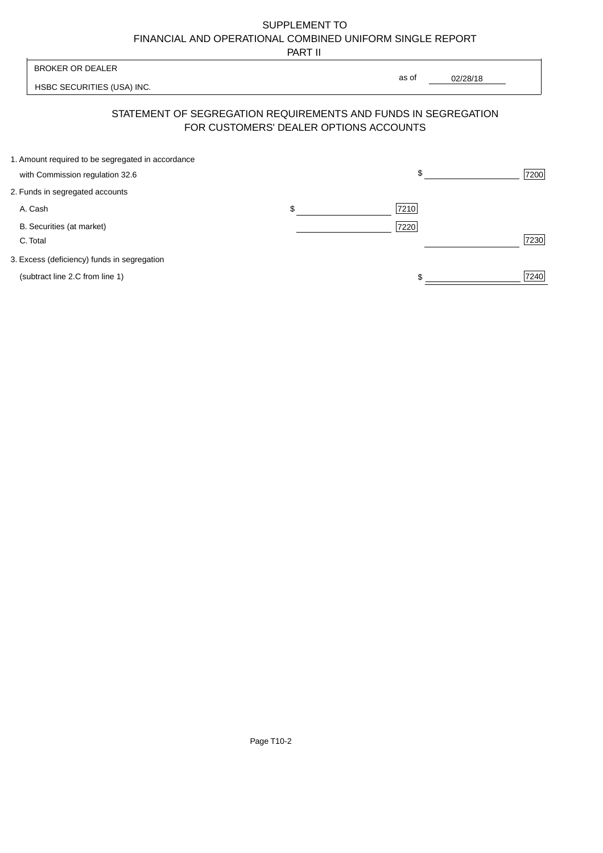PART II

| <b>BROKER OR DEALER</b>                           |                                        | as of                                                          |      |
|---------------------------------------------------|----------------------------------------|----------------------------------------------------------------|------|
| HSBC SECURITIES (USA) INC.                        |                                        | 02/28/18                                                       |      |
|                                                   | FOR CUSTOMERS' DEALER OPTIONS ACCOUNTS | STATEMENT OF SEGREGATION REQUIREMENTS AND FUNDS IN SEGREGATION |      |
| 1. Amount required to be segregated in accordance |                                        |                                                                |      |
| with Commission regulation 32.6                   |                                        | \$                                                             | 7200 |
| 2. Funds in segregated accounts                   |                                        |                                                                |      |
| A. Cash                                           | \$                                     | 7210                                                           |      |
| B. Securities (at market)                         |                                        | 7220                                                           |      |
| C. Total                                          |                                        |                                                                | 7230 |
| 3. Excess (deficiency) funds in segregation       |                                        |                                                                |      |
|                                                   |                                        |                                                                |      |

(subtract line 2.C from line 1) 7240

 $\overline{\mathsf{I}}$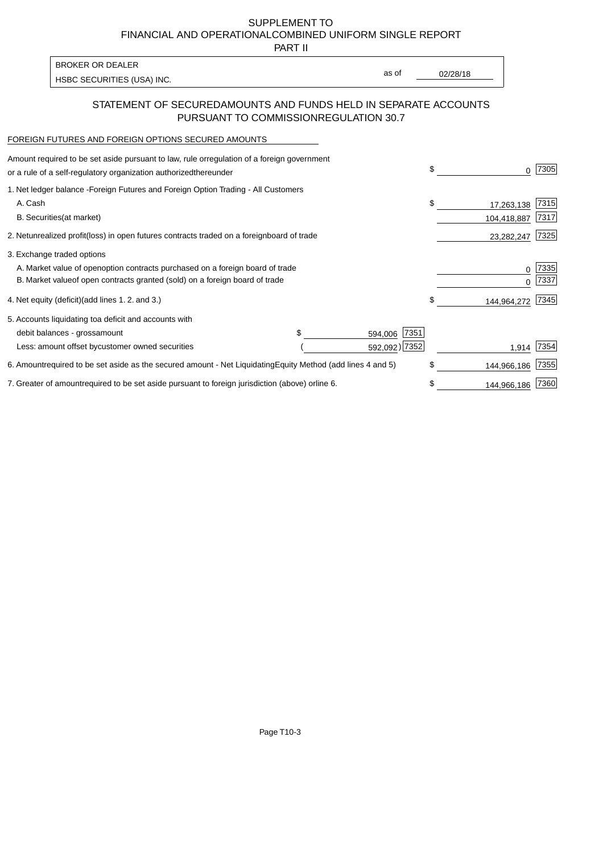PART II

HSBC SECURITIES (USA) INC. The contract of the contract of the contract of the contract of the contract of the contract of the contract of the contract of the contract of the contract of the contract of the contract of the BROKER OR DEALER

as of

### STATEMENT OF SECURED AMOUNTS AND FUNDS HELD IN SEPARATE ACCOUNTS PURSUANT TO COMMISSION REGULATION 30.7

#### FOREIGN FUTURES AND FOREIGN OPTIONS SECURED AMOUNTS

| Amount required to be set aside pursuant to law, rule or<br>regulation of a foreign government<br>or a rule of a self-regulatory organization authorized<br>thereunder                       | \$<br>0                         | 7305         |
|----------------------------------------------------------------------------------------------------------------------------------------------------------------------------------------------|---------------------------------|--------------|
| 1. Net ledger balance - Foreign Futures and Foreign Option Trading - All Customers<br>A. Cash<br><b>B.</b> Securities<br>(at market)                                                         | \$<br>17,263,138<br>104,418,887 | 7315<br>7317 |
| 2. Net unrealized profit (loss) in open futures contracts traded on a foreign<br>board of trade                                                                                              | 23,282,247                      | 7325         |
| 3. Exchange traded options<br>A. Market value of open option contracts purchased on a foreign board of trade<br>B. Market value of open contracts granted (sold) on a foreign board of trade | 0<br><sup>0</sup>               | 7335<br>7337 |
| 4. Net equity (deficit) (add lines 1.2. and 3.)                                                                                                                                              | \$<br>144,964,272               | 7345         |
| 5. Accounts liquidating to a deficit and accounts with<br>\$.<br>7351<br>debit balances - gross<br>amount<br>594,006<br>592,092) 7352<br>Less: amount offset by customer owned securities    | 1,914                           | 7354         |
| 6. Amount required to be set aside as the secured amount - Net Liquidating<br>Equity Method (add lines 4 and 5)                                                                              | \$<br>144,966,186               | 7355         |
| 7. Greater of amount required to be set aside pursuant to foreign jurisdiction (above) or<br>line 6.                                                                                         | \$<br>144,966,186               | 7360         |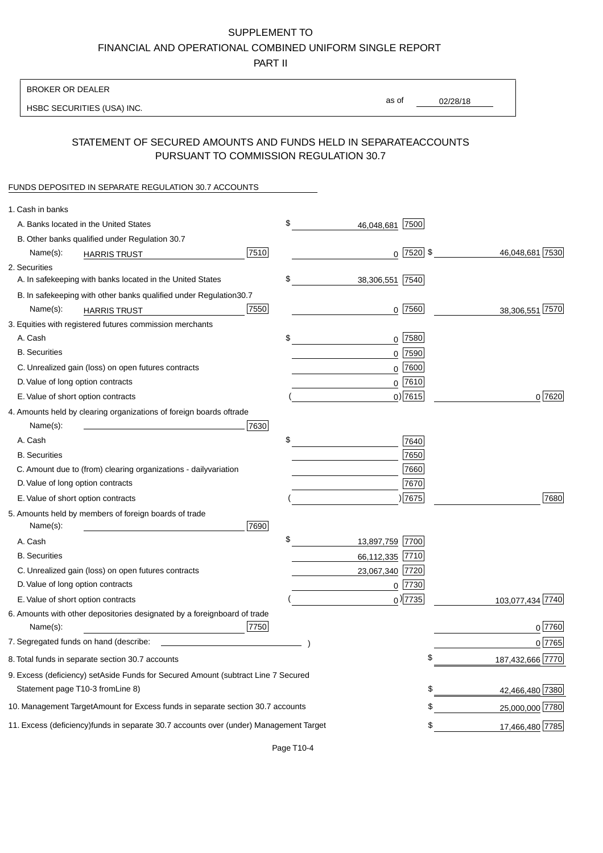PART II

| <b>BROKER OR DEALER</b>                                                                          |                       |              |                  |
|--------------------------------------------------------------------------------------------------|-----------------------|--------------|------------------|
| HSBC SECURITIES (USA) INC.                                                                       | as of                 |              | 02/28/18         |
| STATEMENT OF SECURED AMOUNTS AND FUNDS HELD IN SEPARATE                                          |                       |              | <b>ACCOUNTS</b>  |
| PURSUANT TO COMMISSION REGULATION 30.7                                                           |                       |              |                  |
| FUNDS DEPOSITED IN SEPARATE REGULATION 30.7 ACCOUNTS                                             |                       |              |                  |
| 1. Cash in banks                                                                                 |                       |              |                  |
| A. Banks located in the United States                                                            | \$<br>46,048,681      | 7500         |                  |
| B. Other banks qualified under Regulation 30.7                                                   |                       |              |                  |
| 7510<br>Name(s):<br><b>HARRIS TRUST</b>                                                          |                       | $0$  7520 \$ | 46,048,681 7530  |
| 2. Securities                                                                                    |                       |              |                  |
| A. In safekeeping with banks located in the United States                                        | \$<br>38,306,551 7540 |              |                  |
| 30.7<br>B. In safekeeping with other banks qualified under Regulation                            |                       |              |                  |
| 7550<br>Name(s):<br><b>HARRIS TRUST</b>                                                          |                       | $0$  7560    | 38,306,551 7570  |
| 3. Equities with registered futures commission merchants                                         |                       |              |                  |
| A. Cash                                                                                          | \$                    | $0$ 7580     |                  |
| <b>B.</b> Securities                                                                             |                       | $0$ 7590     |                  |
| C. Unrealized gain (loss) on open futures contracts                                              |                       | $0$ 7600     |                  |
| D. Value of long option contracts                                                                |                       | $0$ 7610     |                  |
| E. Value of short option contracts                                                               |                       | 0 7615       | 0 7620           |
| 4. Amounts held by clearing organizations of foreign boards of<br>trade                          |                       |              |                  |
| 7630<br>Name(s):                                                                                 |                       |              |                  |
| A. Cash                                                                                          | \$                    | 7640         |                  |
| <b>B.</b> Securities                                                                             |                       | 7650         |                  |
| C. Amount due to (from) clearing organizations - daily<br>variation                              |                       | 7660         |                  |
| D. Value of long option contracts                                                                |                       | 7670         |                  |
| E. Value of short option contracts                                                               |                       | )7675        | 7680             |
| 5. Amounts held by members of foreign boards of trade<br>Name(s):<br>7690                        |                       |              |                  |
| A. Cash                                                                                          | \$<br>13,897,759 7700 |              |                  |
| <b>B.</b> Securities                                                                             | 66,112,335 7710       |              |                  |
| C. Unrealized gain (loss) on open futures contracts                                              | 23,067,340            | 7720         |                  |
| D. Value of long option contracts                                                                |                       | $0$ 7730     |                  |
| E. Value of short option contracts                                                               |                       | $_0$ ) 7735  | 103,077,434 7740 |
| 6. Amounts with other depositories designated by a foreign<br>board of trade<br>7750<br>Name(s): |                       |              | 0 7760           |
| 7. Segregated funds on hand (describe:                                                           |                       |              | 0 7765           |
| 8. Total funds in separate section 30.7 accounts                                                 |                       | \$           | 187,432,666 7770 |
| 9. Excess (deficiency) set Aside Funds for Secured Amount (subtract Line 7 Secured               |                       |              |                  |
| Statement page T10-3 from Line 8)                                                                |                       | \$           | 42,466,480 7380  |
| 10. Management Target Amount for Excess funds in separate section 30.7 accounts                  |                       | \$           | 25,000,000 7780  |
| 11. Excess (deficiency) funds in separate 30.7 accounts over (under) Management Target           |                       | \$           | 17,466,480 7785  |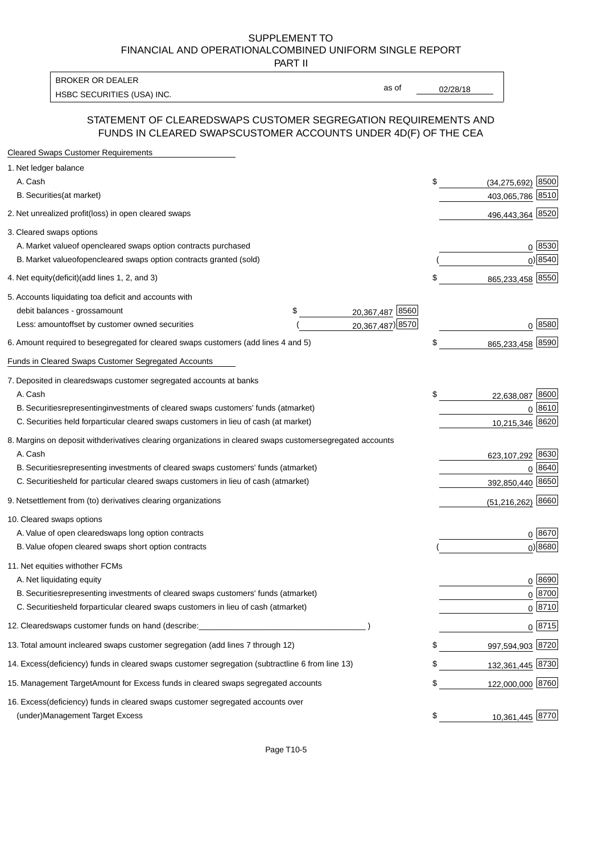PART II

HSBC SECURITIES (USA) INC. The contract of the contract of the contract of the contract of the contract of the contract of the contract of the contract of the contract of the contract of the contract of the contract of the BROKER OR DEALER

as of

#### STATEMENT OF CLEARED SWAPS CUSTOMER SEGREGATION REQUIREMENTS AND FUNDS IN CLEARED SWAPS CUSTOMER ACCOUNTS UNDER 4D(F) OF THE CEA

| <b>Cleared Swaps Customer Requirements</b>                                                                  |                              |
|-------------------------------------------------------------------------------------------------------------|------------------------------|
| 1. Net ledger balance                                                                                       |                              |
| A. Cash                                                                                                     | \$<br>8500<br>(34, 275, 692) |
| B. Securities (at market)                                                                                   | 403,065,786 8510             |
| 2. Net unrealized profit (loss) in open cleared swaps                                                       | 496,443,364 8520             |
| 3. Cleared swaps options                                                                                    |                              |
| A. Market value of open cleared swaps option contracts purchased                                            | 0   8530                     |
| B. Market value of open cleared swaps option contracts granted (sold)                                       | $0)$ 8540                    |
| 4. Net equity (deficit) (add lines 1, 2, and 3)                                                             | \$<br>865,233,458 8550       |
| 5. Accounts liquidating to a deficit and accounts with                                                      |                              |
| 20,367,487 8560<br>debit balances - gross amount<br>\$                                                      |                              |
| 20,367,487) 8570<br>Less: amount offset by customer owned securities                                        | 0 8580                       |
| 6. Amount required to be segregated for cleared swaps customers (add lines 4 and 5)                         | \$<br>865,233,458 8590       |
| Funds in Cleared Swaps Customer Segregated Accounts                                                         |                              |
| 7. Deposited in cleared swaps customer segregated accounts at banks                                         |                              |
| A. Cash                                                                                                     | \$<br>22,638,087 8600        |
| B. Securities representing investments of cleared swaps customers' funds (at market)                        | 0 8610                       |
| C. Securities held for particular cleared swaps customers in lieu of cash (at market)                       | 10,215,346 8620              |
| 8. Margins on deposit with derivatives clearing organizations in cleared swaps customer segregated accounts |                              |
| A. Cash                                                                                                     | 623,107,292 8630             |
| B. Securities representing investments of cleared swaps customers' funds (at market)                        | 8640<br>0                    |
| C. Securities<br>held for particular cleared swaps customers in lieu of cash (at market)                    | 392,850,440 8650             |
| 9. Net settlement from (to) derivatives clearing organizations                                              | $(51,216,262)$ 8660          |
| 10. Cleared swaps options                                                                                   |                              |
| A. Value of open cleared swaps long option contracts                                                        | $0^{8670}$                   |
| B. Value of open cleared swaps short option contracts                                                       | $0$ ) 8680                   |
| 11. Net equities with other FCMs                                                                            |                              |
| A. Net liquidating equity                                                                                   | $0^{8690}$                   |
| B. Securities representing investments of cleared swaps customers' funds (at market)                        | $0^{8700}$                   |
| C. Securities held for particular cleared swaps customers in lieu of cash (at market)                       | 0 8710                       |
| 12. Cleared swaps customer funds on hand (describe:                                                         | $0 \;  8715 $                |
| 13. Total amount in cleared swaps customer segregation (add lines 7 through 12)                             | \$<br>997,594,903 8720       |
| 14. Excess (deficiency) funds in cleared swaps customer segregation (subtract line 6 from line 13)          | 132,361,445 8730             |
| 15. Management Target Amount for Excess funds in cleared swaps segregated accounts                          | \$<br>122,000,000 8760       |
| 16. Excess<br>(deficiency) funds in cleared swaps customer segregated accounts over                         |                              |
| <b>Management Target Excess</b><br>(under)                                                                  | \$<br>10,361,445 8770        |